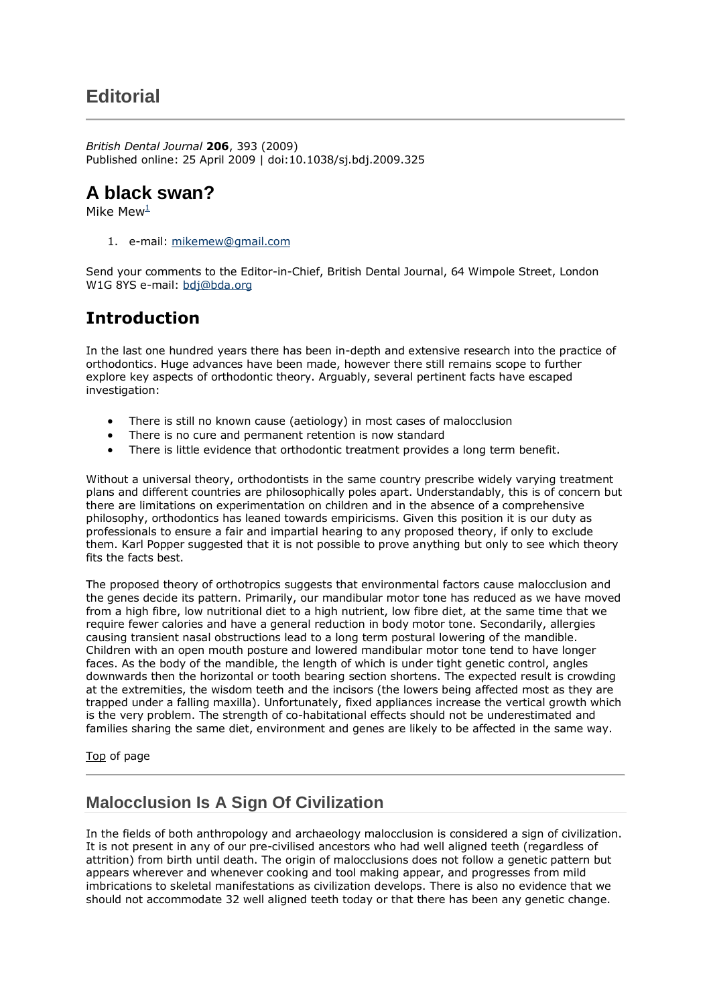## **Editorial**

*British Dental Journal* **206**, 393 (2009) Published online: 25 April 2009 | doi:10.1038/sj.bdj.2009.325

## **A black swan?**

Mike Mew $\frac{1}{2}$  $\frac{1}{2}$  $\frac{1}{2}$ 

1. e-mail: [mikemew@gmail.com](mailto:mikemew@gmail.com)

Send your comments to the Editor-in-Chief, British Dental Journal, 64 Wimpole Street, London W1G 8YS e-mail: [bdj@bda.org](mailto:bdj@bda.org)

## **Introduction**

In the last one hundred years there has been in-depth and extensive research into the practice of orthodontics. Huge advances have been made, however there still remains scope to further explore key aspects of orthodontic theory. Arguably, several pertinent facts have escaped investigation:

- There is still no known cause (aetiology) in most cases of malocclusion
- There is no cure and permanent retention is now standard
- There is little evidence that orthodontic treatment provides a long term benefit.

Without a universal theory, orthodontists in the same country prescribe widely varying treatment plans and different countries are philosophically poles apart. Understandably, this is of concern but there are limitations on experimentation on children and in the absence of a comprehensive philosophy, orthodontics has leaned towards empiricisms. Given this position it is our duty as professionals to ensure a fair and impartial hearing to any proposed theory, if only to exclude them. Karl Popper suggested that it is not possible to prove anything but only to see which theory fits the facts best.

The proposed theory of orthotropics suggests that environmental factors cause malocclusion and the genes decide its pattern. Primarily, our mandibular motor tone has reduced as we have moved from a high fibre, low nutritional diet to a high nutrient, low fibre diet, at the same time that we require fewer calories and have a general reduction in body motor tone. Secondarily, allergies causing transient nasal obstructions lead to a long term postural lowering of the mandible. Children with an open mouth posture and lowered mandibular motor tone tend to have longer faces. As the body of the mandible, the length of which is under tight genetic control, angles downwards then the horizontal or tooth bearing section shortens. The expected result is crowding at the extremities, the wisdom teeth and the incisors (the lowers being affected most as they are trapped under a falling maxilla). Unfortunately, fixed appliances increase the vertical growth which is the very problem. The strength of co-habitational effects should not be underestimated and families sharing the same diet, environment and genes are likely to be affected in the same way.

Top [of page](http://www.nature.com/bdj/journal/v206/n8/full/sj.bdj.2009.325.html#top)

## **Malocclusion Is A Sign Of Civilization**

In the fields of both anthropology and archaeology malocclusion is considered a sign of civilization. It is not present in any of our pre-civilised ancestors who had well aligned teeth (regardless of attrition) from birth until death. The origin of malocclusions does not follow a genetic pattern but appears wherever and whenever cooking and tool making appear, and progresses from mild imbrications to skeletal manifestations as civilization develops. There is also no evidence that we should not accommodate 32 well aligned teeth today or that there has been any genetic change.